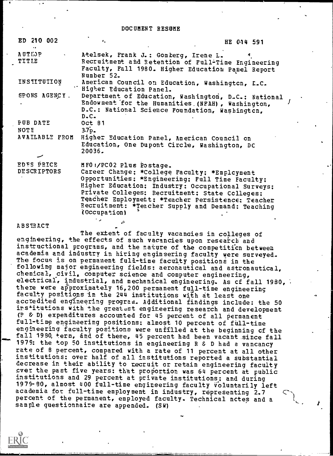DOCUMENT RESUME

| ED 210 002                       | $\bullet$ .                                                                                                                                                                                                                                                                                                                                                 | HE 014 591 |
|----------------------------------|-------------------------------------------------------------------------------------------------------------------------------------------------------------------------------------------------------------------------------------------------------------------------------------------------------------------------------------------------------------|------------|
| <b>AUTIOP</b><br><b>TITLE</b>    | Atelsek, Frank J.: Gomberg, Irene L.<br>Recruitment and Retention of Full-Time Engineering<br>Faculty, Fall 1980. Higher Education Panel Report<br>Number 52.                                                                                                                                                                                               |            |
| INSTITUTION                      | American Council on Education, Washington, L.C.<br>"Higher Education Panel.                                                                                                                                                                                                                                                                                 |            |
| SPONS AGENCY.                    | Department of Education, Washington, D.C.: National<br>Endowment for the Humanities (NFAH), Washington,<br>D.C.: National Science Poundation, Washington,<br>$D-C$                                                                                                                                                                                          |            |
| <b>PUB DATE</b>                  | Oct 81                                                                                                                                                                                                                                                                                                                                                      |            |
| <b>NOTE</b>                      | 3.7 <sub>D</sub>                                                                                                                                                                                                                                                                                                                                            |            |
| AVAILABLE FROM                   | Higher Education Panel, American Council on<br>Education, One Dupont Circle, Washington, DC<br>20036.                                                                                                                                                                                                                                                       |            |
| EDES PRICE<br><b>DESCRIPTORS</b> | MFOI/PCO2 Plus Postage.<br>Career Change; *College Faculty; *Emplcyment<br>Opportunities: *Engineering: Full Time Faculty:<br>Higher Education: Industry: Occupational Surveys:<br>Private Colleges: Recruitment: State Colleges:<br>Teacher Employment: *Teacher Persistence: Teacher<br>Recruitment: *Teacher Supply and Demand: Teaching<br>(Occupation) |            |
| <b>ABSTRACT</b>                  |                                                                                                                                                                                                                                                                                                                                                             |            |

The extent of faculty vacancies in colleges of engineering, the effects of such vacancies upon research and instructional programs, and the nature of the competiticn between academia and industry in hiring engineering faculty were surveyed. The focus is on permanent full-time faculty positions in the following major engineering fields: aeronautical and astronautical, chemical, civil, computer science and computer engineering, electrical, industrial, and mechanical engineering. As of fall 1980,  $\overline{\cdot}$ there were approximately 16,200 permanent full-time engineering faculty positions in the 244 institutions with at least one accredited engineering program. Additional findings include: the 50 institutions with the greatest engineering research and development (P & D) expenditures accounted for 45 percent of all permanent full-time engineering positions; almost 10 percent of full-time engineering faculty positions were unfilled at the beginning cf the fall 1980, term, and of these, 45 percent had been vacant since fall 1979: the top 50 institutions in engineering R & D had a vancancy rate of B percent, compared with a rate of 11 percent at all other institutions: over half of all institutions reported a substantial decrease in their ability to recruit or retain engineering faculty ever the past five years: that proportion was 64 percent at public institutions and 29 percent at private institutions; and during 1979-80, almost 400 full-time engineering faculty Voluntarily left academia for full-time employment in industry, representing 2.7 percent of the permanent, employed faculty. Technical nctes and a sample questionnaire are appended. (SW)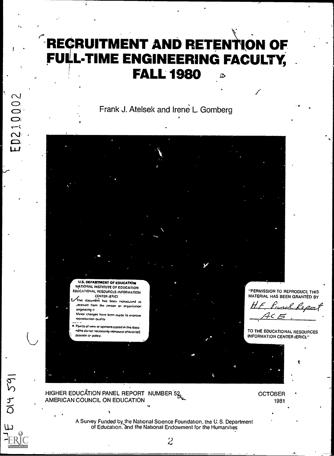# RECRUITMENT AND RETENTION OF FULL-TIME ENGINEERING FACULTY, . FALL 1980  $\bullet$

Frank J. Atelsek and Irene L. Gomberg



.HIGHER EDUCATION PANEL REPORT NUMBER 52 AMERICAN COUNCIL ON EDUCATION

**OCTOBER** 1981

.

A Survey Funded by the National Science Foundation. the U. S. Department of Education. and the National Endowment for the Humanities

 $\overline{\mathcal{Z}}$ 

 $\cdot$ 

DI4 59

داا

**D21000**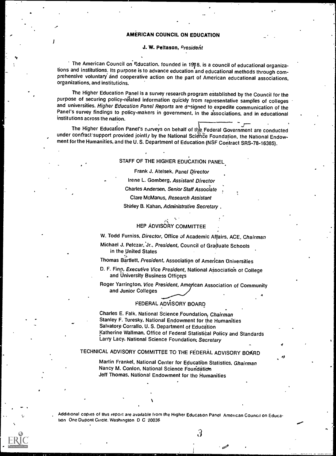#### AMERICAN COUNCIL ON EDUCATION

#### J. W. Peltason, Presideht

 $\dot{\phantom{\phi}}$  The American Council on Fducation, founded in 1918, is a council of educational organizations and institutions. Its purpose is to advance education and educational methods through comprehensive voluntary and cooperative action on the part of American educational associations, organizations, and institutions.

The Higher Education Panel is a survey research program established by the Council for the purpose of securing policy-related information quickly from representative samples of colleges and universities. Higher Education Panel Reports are designed to expedite communication of the Panel's survey findings to policy-makers in government, in the associations, and in educational institutions across the nation.

The Higher Education Panel's surveys on behalf of the Federal Government are conducted under contract support provided jointly by the National Science Foundation, the National Endowment for the Humanities, and the U. S. Department of Education (NSF Contract SRS-78-16385).

#### STAFF OF THE HIGHER EDUCATION PANEL.

Frank J. Atelsek, Panel Director

Irene L. Gomberg, Assistant Director

Charles Andersen, Senior Staff Associate

Clare McManus, Research Assistant

Shirley B. Kahan, Administrative Secretary

## HEP ADVISORY COMMITTEE

W. Todd Furniss, Director, Office of Academic Affairs, ACE, Chairman

Michael J. Pelczar,'Jr., President, Council of Graduate Schools in the United States

Thomas Bartlett, President, Association of American Universities

D. F. Finn, Executive Vice President, National Association of College and University Business Officers

Roger Yarrington, Vice President, American Association of Community and Junior Colleges 4

#### FEDERAL ADVISORY BOARD

Charles E. Falk, National Science Foundation, Chairman Stanley F. Turesky. National Endowment for the Humanities Salvatore Corrallo. U. S. Department of Education Katherine Wallman. Office of Federal Statistical Policy and Standards Larry Lacy. National Science Foundation; Secretary

## TECHNICAL ADVISORY COMMITTEE TO THE FEDERAL ADVISORY BOARD

Martin Frankel, National Center for Educatibn Statistics, Ghairman Nancy M. Conlon, National Science Foundation Jeff Thomas. National Endowment for tho Humanities

Additional copies of this report are available from the Higher Education Panel American Council on Education One Dupont Circle. Washington D C 20036

 $3\overline{3}$ 

cz?

 $\sim$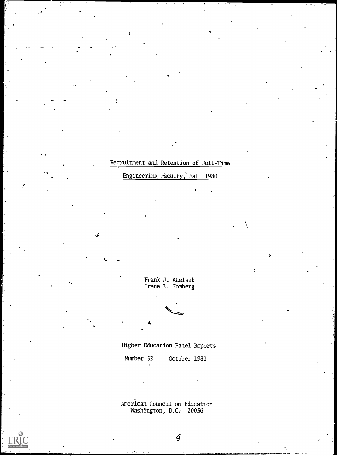## Recruitment and Retention of Full-Time

o

Engineering Faculty, Fall 1980

Frank J. Atelsek Irene L. Gomberg

 $\sim$ 

Higher Education Panel Reports

Number 52 October 1981

American Council on Education Washington, D.C. 20036

4

Ŕ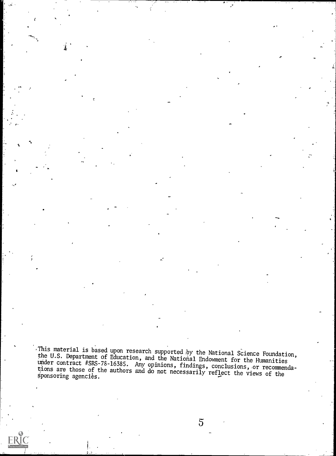This material is based upon research supported by the National Science Foundation, the U.S. Department of Education, and the National Endowment for the Humanities under contract #SRS-78-16385. Any opinions, findings, concl

ce,

4.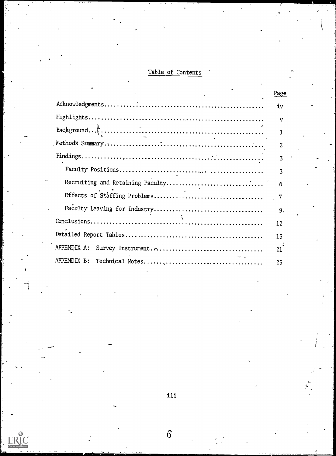## Table of Contents

|             | <u>Page</u> |  |
|-------------|-------------|--|
|             | iν          |  |
|             | v           |  |
|             | 1           |  |
|             | 2           |  |
|             | 3           |  |
|             | 3           |  |
|             | 6           |  |
|             |             |  |
|             | 9.          |  |
|             | 12          |  |
|             | 13          |  |
| APPENDIX A: | 21          |  |
|             | 25          |  |

iii

6'

 $4\sigma$  ,  $4\sigma$  ,  $\sigma$  ,  $\sigma$ 

ERIC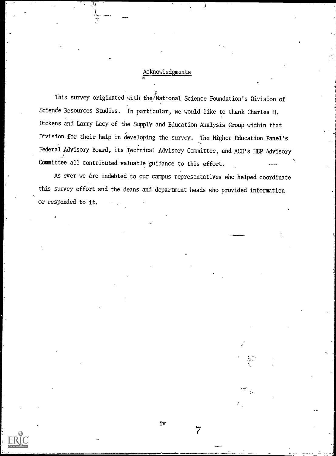## Acknowledgments

 $\alpha$  and  $\alpha$ 

This survey originated with the National Science Foundation's Division of Science Resources Studies. In particular, we would like to thank Charles H. Dickens and Larry Lacy of the Supply and Education Analysis Group within that Division for their help in developing the survey. The Higher Education Panel's Federal Advisory Board, its Technical Advisory Committee, and ACE's HEP Advisory Committee all contributed valuable guidance to this effort.

As ever we are indebted to our campus representatives who helped coordinate this survey effort and the deans and department heads who provided information or responded to it.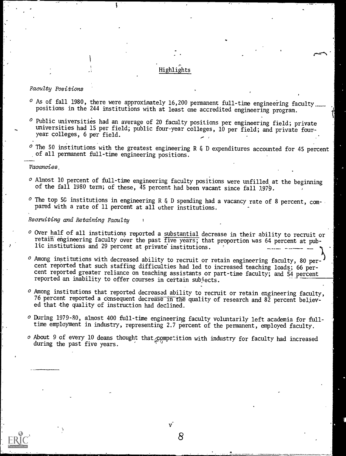## Highlights

#### Faculty Positions

- $\circ$  As of fall 1980, there were approximately 16,200 permanent full-time engineering faculty<sub>um</sub>. positions in the 244 institutions with at least one accredited engineering program.
- $^o$  Public universities had an average of 20 faculty positions per engineering field; private universities had 15 per field; public four-year colleges, 10 per field; and private fouryear colleges, 6 per field.
- $\circ$  The 50 institutions with the greatest engineering R & D expenditures accounted for 45 percent of all permanent full-time engineering positions.

#### Vacancies,

- O Almost 10 percent of full-time engineering faculty positions were unfilled at the beginning of the fall 1980 term; of these, 45 percent had been vacant since fall 1979.
- $\circ$  The top 5G institutions in engineering R & D spending had a vacancy rate of 8 percent, compared with a rate of 11 percent at all other institutions.

#### Recruiting and Retaining Faculty

 $\sim$  Over half of all institutions reported a substantial decrease in their ability to recruit or retain-engineering faculty over the past five years; that proportion was 64 percent at public institutions and 29 percent at private institutions.

A<sub>is</sub>  $o$  Among institutions with decreased ability to recruit or retain engineering faculty, 80 percent reported that such staffing difficulties had led to increased teaching loads; 66 percent reported greater reliance on teaching assistants or part-time faculty; and 54 percent reported an inability to offer courses in certain subjects.

- O Among institutions that reported decreased ability to recruit or retain engineering faculty, 76 percent reported a consequent decrease in the quality of research and  $8\bar{2}$  percent believed that the quality of instruction had declined.
- o During 1979-80, almost 400 full-time engineering faculty voluntarily left academia for fulltime employment in industry, representing 2.7 percent of the permanent, employed faculty.
- $\circ$  About 9 of every 10 deans thought that  $\mathcal{L}$  empetition with industry for faculty had increased during the past five years.

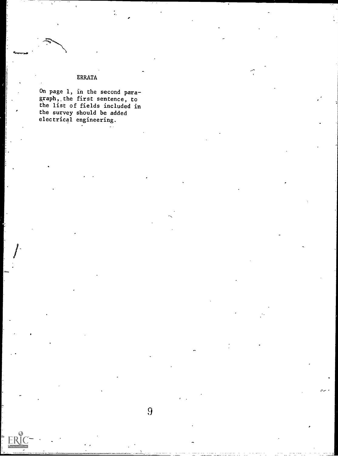## ERRATA

On page 1, in the second paragraph,.the first sentence, to the list of fields included in the survey should be added electrical engineering.

المراجي

`-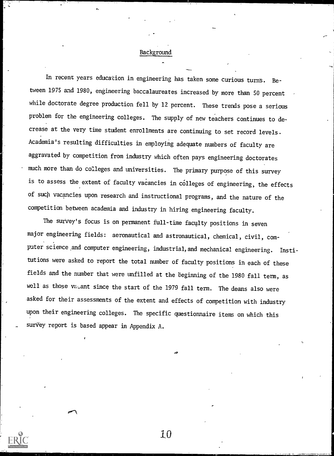#### Background

In recent years education in engineering has taken some curious turns. Between 1975 and 1980, engineering baccalaureates increased by more than 50 percent while doctorate degree production fell by 12 percent. These trends pose a serious problem for the engineering colleges. The supply of new teachers continues to decrease at the very time student enrollments are continuing to set record levels. Academia's resulting difficulties in employing adequate numbers of faculty are aggravated by competition from industry which often pays engineering doctorates much more than do colleges and universities. The primary purpose of this survey is to assess the extent of faculty vacancies in colleges of engineering, the effects of such vacancies upon research and instructional programs, and the nature of the competition between academia and industry in hiring engineering faculty.

The survey's focus is on permanent full-time faculty positions in seven major engineering fields: aeronautical and astronautical, chemical, civil, com puter science and computer engineering, industrial, and mechanical engineering. Institutions were asked to report the total number of faculty positions in each of these fields and the number that were unfilled at the beginning of the 1980 fall term, as well as those valant since the start of the 1979 fall term. The deans also were asked for their assessments of the extent and effects of competition with industry upon their engineering colleges. The specific questionnaire items on which this survey report is based appear in Appendix A.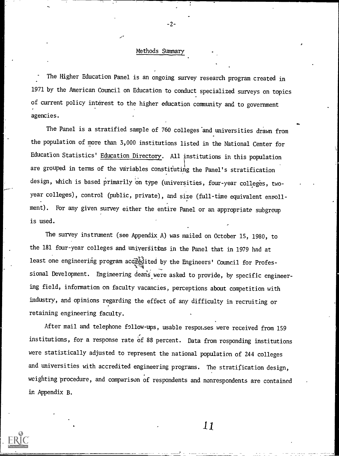#### Methods Summary

-2-

The Higher Education Panel is an ongoing survey research program created in 1971 by the American Council on Education to conduct specialized surveys on topics of current policy interest to the higher education community and to government agencies.

The Panel is a stratified sample of 760 colleges and universities drawn from the population of more than 3,000 institutions listed in the National Center for Education Statistics' Education Directory. All institutions in this population are grouped in terms of the variables constituting the Panel's stratification design, which is based primarily on type (universities, four-year colleges, twoyear colleges), control (public, private), and size (full-time equivalent enrollment). For any given survey either the entire Panel or an appropriate subgroup is used.

The survey instrument (see Appendix A) was mailed on October 15, 1980, to the 181 four-year colleges and universities in the Panel that in 1979 had at least one engineering program accrédited by the Engineers' Council for Professional Development. Engineering deans were asked to provide, by specific engineering field, information on faculty vacancies, perceptions about competition with industry, and opinions regarding the effect of any difficulty in recruiting or retaining engineering faculty.

After mail and telephone follow-ups, usable responses were received from 159 institutions, for a response rate of 88 percent. Data from responding institutions were statistically adjusted to represent the national population of 244 colleges and universities with accredited engineering programs. The stratification design, weighting procedure, and comparison of respondents and nonrespondents are contained in Appendix B.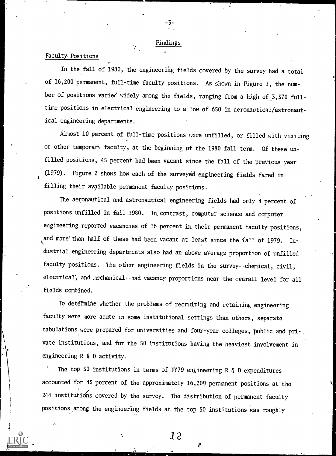#### Findings

-3-

## Faculty. Positions

In the fall of 1980, the engineering fields covered by the survey had a total of 16,200 permanent, full -time faculty positions. As shown in Figure 1, the number of positions varied widely among the fields, ranging from a high of 3,570 fulltime positions in electrical engineering to a low of 650 in aeronautical/astronautical engineering departments.

Almost 10 percent of full-time positions were unfilled, or filled with visiting or other temporary faculty, at the beginning of the 1980 fall term. Of these unfilled positions, 45 percent had been vacant since the fall of the previous year (1979). Figure 2 shows how each of the surveyed engineering fields fared in filling their available permanent faculty positions.

The aeronautical and astronautical engineering fields had only 4 percent of positions unfilled in fall 1980. In, contrast, computer science and computer engineering reported vacancies of 16 percent in their permanent faculty positions, and more'than half of these had been vacant at least since the fall of 1979. In dustrial engineering departments also had an above average proportion of unfilled faculty positions. The other engineering fields in the survey--chemical, civil, electrical; and mechanical--had vacancy proportions near the overall level for all fields combined.

To determine whether the problems of recruiting and retaining engineering faculty were more acute in some institutional settings than others, separate tabulations were prepared for universities and four-year colleges, public and private institutions, and for the 50 institutions having the heaviest involvement in engineering R & D activity.

The top 50 institutions in terms of FY79 engineering R  $\xi$  D expenditures accounted for 45 percent of the approximately 16,200 permanent positions at the 244 institutions covered by the survey. The distribution of permanent faculty positions, among the engineering fields at the top 50 institutions was roughly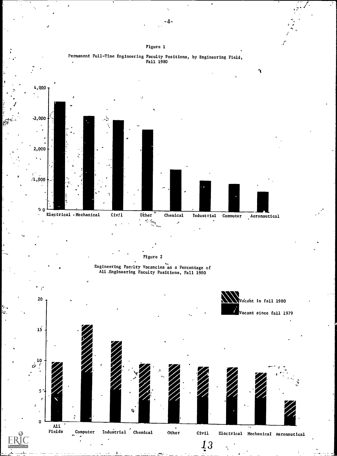



Permanent Full-Time Engineering Faculty Positions, by Engineering Field,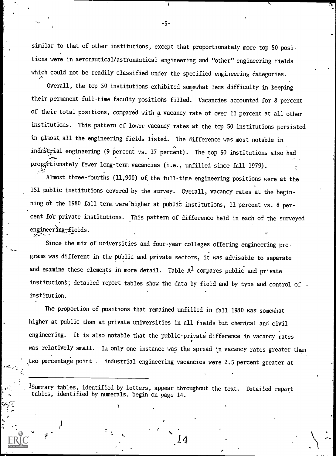similar to that of other institutions, except that proportionately more top SO positions were in aeronautical/astronautical engineering and "other" engineering fields which could not be readily classified under the specified engineering categories.

Overall, the top 50 institutions exhibited somewhat less difficulty in keeping their permanent full-time faculty positions filled. Vacancies accounted for 8 percent of their total positions, compared with a vacancy rate of over 11 percent at all other institutions. This pattern of lower vacancy rates at the top 50 institutions persisted in almost all the engineering fields listed. The difference was most notable in industrial engineering (9 percent vs. 17 percent). The top 50 institutions also had proportionately fewer long-term vacancies (i.e., unfilled since fall 1979).

Almost three-fourths  $(11,900)$  of the full-time engineering positions were at the 151 public institutions covered by the survey. Overall, vacancy rates at the beginning of the 1980 fall term were higher at public institutions, 11 percent vs. 8 percent fo'r private institutions. This pattern of difference held in each of the surveyed engineering-fields.

Since the mix of universities and four-year colleges offering engineering programs was different in the public and private sectors, it Was advisable to separate and examine these elements in more detail. Table  $A^1$  compares public and private institution's; detailed report tables show the data by field and by type and control of institution.

The proportion of positions that remained unfilled in fall 1980 was somewhat higher at public than at private universities in all fields but chemical and civil engineering. It is also notable that the public-private difference in vacancy rates was relatively small. In only one instance was the spread in vacancy rates greater than two percentage point.. industrial engineering vacancies were 2.5 percent greater at

'Summary tables, identified by letters, appear throughout the text. Detailed report tables, identified by numerals, begin on page 14.

ti

-5-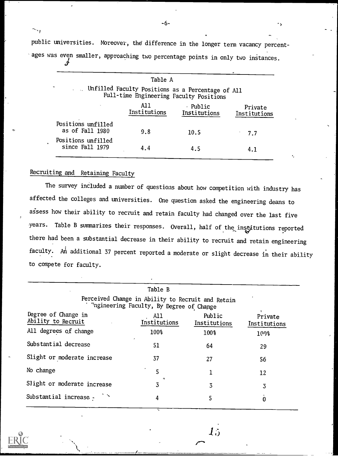public universities. Moreover, the difference in the longer term vacancy percentages was even smaller, approaching two percentage points in only two instances.

|                                       | Table A             |                                                                                                |                         |
|---------------------------------------|---------------------|------------------------------------------------------------------------------------------------|-------------------------|
|                                       |                     | . Unfilled Faculty Positions as a Percentage of All<br>Full-time Engineering Faculty Positions |                         |
|                                       | A11<br>Institutions | - Public<br>Institutions                                                                       | Private<br>Institutions |
| Positions unfilled<br>as of Fall 1980 | 9.8                 | 10.5                                                                                           | 7.7                     |
| Positions unfilled<br>since Fall 1979 | 4.4                 | 4.5                                                                                            | 4.1                     |

## Recruiting and Retaining Faculty

 $\sim$  ,

The survey included a number of questions about how competition with industry has affected the colleges and universities. One question asked the engineering deans to assess how their ability to recruit and retain faculty had changed over the last five years. Table B summarizes their responses. Overall, half of the institutions reported there had been a substantial decrease in their ability to recruit and retain engineering faculty. An additional 37 percent reported a moderate or slight decrease in their ability to compete for faculty.

|                                                                                               | Table B             |                        |                         |  |  |  |
|-----------------------------------------------------------------------------------------------|---------------------|------------------------|-------------------------|--|--|--|
| Perceived Change in Ability to Recruit and Retain<br>Ingineering Faculty, By Degree of Change |                     |                        |                         |  |  |  |
| Degree of Change in<br>Ability to Recruit                                                     | A11<br>Institutions | Public<br>Institutions | Private<br>Institutions |  |  |  |
| All degrees of change                                                                         | 100%                | 100%                   | 109%                    |  |  |  |
| Substantial decrease                                                                          | 51                  | 64                     | 29                      |  |  |  |
| Slight or moderate increase                                                                   | 37                  | 27                     | 56                      |  |  |  |
| No change                                                                                     | 5                   |                        | 12                      |  |  |  |
| Slight or moderate increase                                                                   | 3                   | 3                      | 3                       |  |  |  |
| Substantial increase -                                                                        | 4                   | 5                      | 0                       |  |  |  |
|                                                                                               |                     |                        |                         |  |  |  |

 $\vec{l}$   $\dot{\rho}$ 

-6-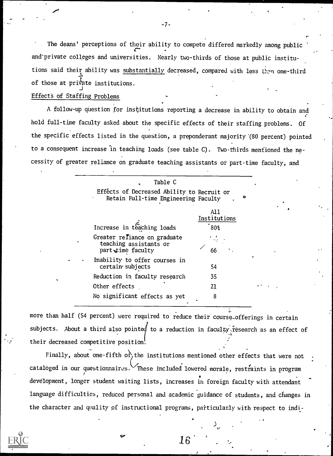The deans' perceptions of their ability to compete differed markedly among public and-private colleges and universities. Nearly two-thirds of those at public institutions said their ability was substantially decreased, compared with less than one-third of those at private institutions.

#### Effect's of Staffing Problems

A follow-up question for institutions reporting a decrease in ability to obtain and hold full-time faculty asked about the specific effects of their staffing problems. Of the specific effects listed in the question, a preponderant majority '(80 percent) pointed to a consequent increase in teaching loads (see table C). Two-thirds mentioned the necessity of greater reliance on graduate teaching assistants or part-time faculty, and

| Table C                                                                            |                     |   |
|------------------------------------------------------------------------------------|---------------------|---|
| Effects of Decreased Ability to Recruit or<br>Retain Full-time Engineering Faculty |                     | o |
|                                                                                    | A11<br>Institutions |   |
| Increase in teaching loads                                                         | 80%                 |   |
| Greater refiance on graduate<br>teaching assistants or<br>part time faculty        | 66                  |   |
| Inability to offer courses in<br>certain subjects                                  | 54                  |   |
| Reduction in faculty research                                                      | 35                  |   |
| Other effects                                                                      | 21                  |   |
| No significant effects as yet                                                      | 8                   |   |

more than half (54 percent) were required to reduce their course..offerings in certain subjects. About a third also pointed to a reduction in faculty research as an effect of their decreased competitive position.

Finally, about one-fifth of the institutions mentioned other effects that were not cataloged in our questionnaires. These included lowered morale, restraints in program development, longer student waiting lists, increases in foreign faculty with attendant language difficulties, reduced personal and academic guidance of students, and changes in the character and quality of instructional programs, particularly with respect to indi-



-7-

e i Sa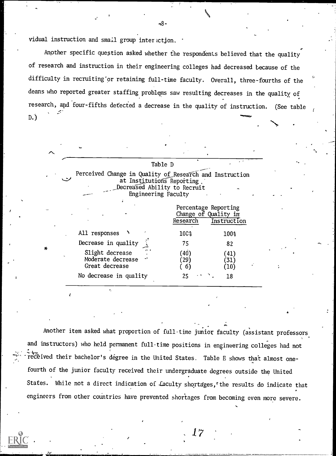vidual instruction and smail group inter ction.

Anpther specific question asked whether the respondents believed that the quality of research and instruction in their engineering colleges had decreased because of the difficulty in recruiting'or retaining full-time faculty. Overall, three-fourths of the deans who reported greater staffing problems saw resulting decreases in the quality, of research, and four-fifths detected a decrease in the quality of instruction. (See table  $D.\bar{D}$ 



Another item asked what proportion of full-time junior faculty (assistant professors and instructors) who held permanent full-time positions in engineering colleges had not received their bachelor's degree in the United States. Table E shows that almost onefourth of the junior faculty received their undergraduate degrees outside the United States. While not a direct indication of Laculty shortages, the results do indicate that engineers from other countries have prevented shortages from becoming even more severe.

17

 $-8-$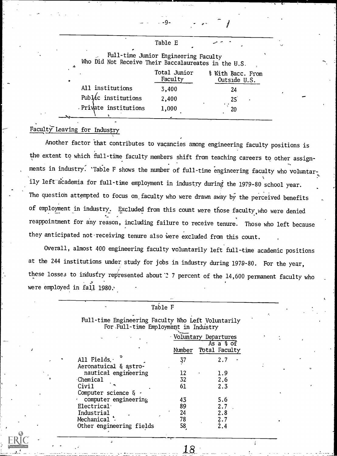| A.                     | call called bancon inginecting racurey<br>Who Did Not Receive Their Baccalaureates in the U.S. |                                   |  |  |  |  |
|------------------------|------------------------------------------------------------------------------------------------|-----------------------------------|--|--|--|--|
|                        | Total Junior<br>Faculty                                                                        | % With Bacc. From<br>Outside U.S. |  |  |  |  |
| All institutions       | 3,400                                                                                          | 24                                |  |  |  |  |
| Publác institutions    | 2,400                                                                                          | $25^{\degree}$                    |  |  |  |  |
| . Private institutions | 1,000                                                                                          | 20                                |  |  |  |  |

Full-time Junior Engineering Faculty

Table E

## Faculty Leaving for Industry

Another factor that contributes to vacancies among engineering faculty positions is the extent to which full-time faculty members shift from teaching careers to other assignments in industry. 'Table F shows the number of full-time engineering faculty who voluntarily left-dcademia for full-time employment in industry during the 1979-80 school year. The question attempted to focus on faculty who were drawn away by the perceived benefits of employment in industry. Excluded from this count were those faculty,who were denied reappointment for any reason, including failure to receive tenure. Those who left because they anticipated not receiving tenure also were excluded from this count.

Overall, almost 400 engineering faculty voluntarily left full-time academic positions at the 244 institutions under, study for jobs in industry during 1979-80. For the year, these losses to industry represented about  $2$  7 percent of the 14,600 permanent faculty who were employed in fall 1980.

|                                                                                            | Table F |                                    |  |
|--------------------------------------------------------------------------------------------|---------|------------------------------------|--|
| Full-time Engineering Faculty Who Left Voluntarily<br>For Full-time Employment in Industry |         |                                    |  |
|                                                                                            |         | Voluntary Departures               |  |
|                                                                                            | Number  | As $a \circ b$ of<br>Total Faculty |  |
| All Fields.<br>Aeronatuical & astro-                                                       | 37      | 2.7                                |  |
| nautical engineering                                                                       | 12      | 1.9                                |  |
| Chemical                                                                                   | 32      | 2.6                                |  |
| Civi1<br>Computer science & .                                                              | 61      | 2.3                                |  |
| computer engineering                                                                       | 43      | 5.6                                |  |
| Electrical                                                                                 | 89      | 2.7                                |  |
| Industrial                                                                                 | 24      | 2.8                                |  |
| Mechanical *                                                                               | 78      | 2.7                                |  |
| Other engineering fields                                                                   | 58      | 2.4                                |  |

\_18

-9-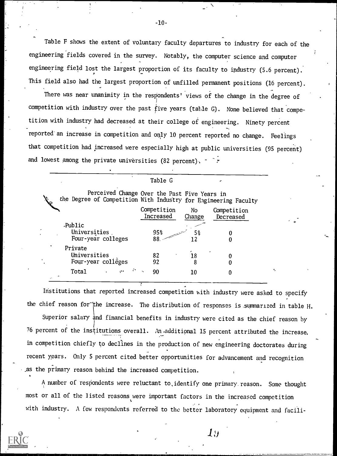Table F shows the extent of voluntary faculty departures to industry for each of the engineering fields covered in the survey. Notably, the computer science and computer engineering field lost the largest proportion of its faculty to industry (5.6 percent). This field also had the largest proportion of unfilled permanent positions (16 percent).

There was near unanimity in the respondents' views of the change in the degree of competition with industry over the past five years (table G). None believed that competition with industry had decreased at their college of engineering. Ninety percent reported'an increase in competition and only 10 percent reported no change. Feelings that competition had increased were especially high at public universities (95 percent) and lowest among the private universities (82 percent).  $\cdot$   $\cdot$ 

|                                                                                                                 | Table G                  |              |                          |
|-----------------------------------------------------------------------------------------------------------------|--------------------------|--------------|--------------------------|
| Perceived Change Over the Past Five Years in<br>the Degree of Competition With Industry for Engineering Faculty |                          |              |                          |
|                                                                                                                 | Competition<br>Increased | No<br>Change | Competition<br>Decreased |
| Public<br>Universities<br>Four-year colleges                                                                    | 95%<br>88.               | 5%           |                          |
| Private<br>Universities<br>Four-year colléges                                                                   | 82<br>92                 | 18<br>8      |                          |
| Total<br>(1)                                                                                                    | 90                       | 10           |                          |

Institutions that reported increased competition hith industry were asked to specify the chief reason for the increase. The distribution of responses is summarized in table H. Superior salary and financial benefits in industry were cited as the chief reason by 76 percent of the institutions overall. An additional 15 percent attributed the increase. in competition chiefly to declines in the production of new engineering doctorates during recent ypars. Only 5 percent cited better opportunities for advancement and recognition

.,as the primary reason behind the increased competition.

A number of respondents were reluctant to identify one primary reason. Some thought most or all of the listed reasons were important factors in the increased competition with industry. A few respondents referred to the better laboratory equipment and facili-

 $\mathcal{I} y$ 



-10-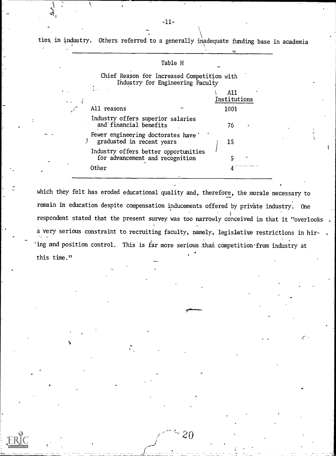ties, in industry. Others referred to a generally inadequate funding base in academia

#### Table H

Chief Reason for Increased Competition with Industry for Engineering Faculty

|                                                                         | Institutions |
|-------------------------------------------------------------------------|--------------|
| All reasons                                                             | 100%         |
| Industry offers superior salaries<br>and financial benefits             | 76           |
| Fewer engineering doctorates have<br>graduated in recent years          | 15           |
| Industry offers better opportunities<br>for advancement and recognition |              |
| Other                                                                   |              |
|                                                                         |              |

which they felt has eroded educational quality and, therefore, the morale necessary to remain in education despite compensation inducements offered by private industry. One respondent stated that the present survey was too narrowly conceived in that it "overlooks a very serious constraint to recruiting faculty, namely, legislative restrictions in hir-'ing and position control. This is far more serious than competition-from industry at this time."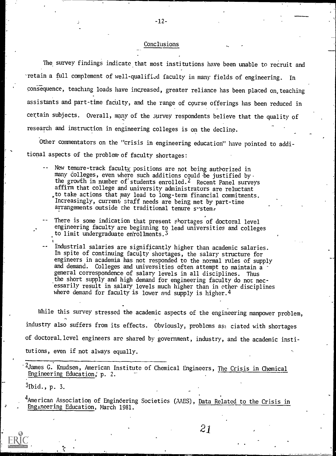#### Conclusions

-12-

The survey findings indicate that most institutions have been unable to recruit and retain a full complement of well-qualified faculty in many fields of engineering. In consequence, teaching loads have increased, greater reliance has been placed on,teaching assistants and part-time faculty, and the range of course offerings has been reduced in certain subjects. Overall, many of the survey respondents believe that the quality of research and instruction in engineering colleges is on the decline.

Other commentators on the "crisis in engineering education" have pointed to additional aspects of the problem-of faculty shortages:

- New tenure-track faculty positions are not being authorized in many colleges, even where such additions could be justified by the growth in number of students enrolled.<sup>2</sup> Recent Panel surveys affirm that college and university administrators are reluctant to take actions that pay lead to long-term financial commitments. Increasingly, current staff needs are being met by part-time arrangements outside the traditional tenure system.
- There is some indication that present shortages of doctoral level engineering faculty are beginning to lead universities and colleges to limit undergraduate enrollments.<sup>5</sup>
- Industrial salaries are significantly higher than academic salaries. In spite of continuing faculty shortages, the salary structure for engineers in academia has not responded to the normal rules of supply and demand. Colleges and universities often attempt to maintain a general correspondence of salary levels in all disciplines. Thus the short supply and high demand for engineering faculty do not necessarily result in salary levels much higher than in other disciplines where demand for faculty is lower and supply is higher.<sup>4</sup>

While this survey stressed the academic aspects of the engineering manpower problem, industry also suffers from its effects. Obviously, problems ass ciated with shortages of doctoral. level engineers are shared by government, industry, and the academic institutions, even if not always equally.

<sup>2</sup>James G. Knudsen, American Institute of Chemical Engineers, The Crisis in Chemical Engineering Education; p. 2.

 $3$ Ibid., p. 3.

<sup>4</sup>American Association of Enginĉering Societies (AAES), <u>Data Related to the Crisis in</u> Engineering Education, March 1981.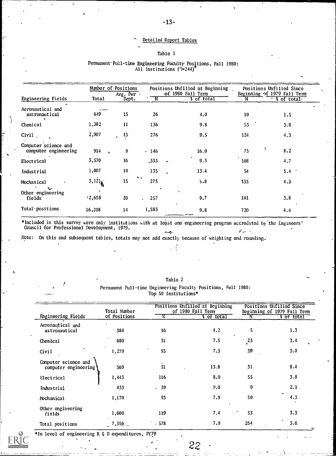#### Detailed Report Tables

#### Table 1

### Engineering Fields Number of Positions Positions Unfilled at Beginning  $\Delta v$ g. Per  $\sim$   $\frac{6f}{1980}$  Fall Term Beginning of 1979 Fall Term Positions Unfilled Since<br>Beginning of 1979 Fall Term Avg. Per of 1980 Fall Term Beginning of 1979 Fall Term Total Dept. N & of total: Aeronautical and  $\frac{1}{2}$  astronautical 649 15 astronautical 649 15 26 4.0 10 1.5 Chemical 1,382 11 136 9,8 53 3.8 Civil 2,907 15 276 9.5 124 4.3 Computer science and<br>
computer engineering 914 computer engineering .  $\frac{16.0}{16.0}$  .  $\frac{16.0}{16.0}$  .  $\frac{16.0}{16.0}$  . The set of the set of the set of the set of the set of the set of the set of the set of the set of the set of the set of the set of the set of the set of the set of  $75$  8.2 Electrical 3,570 16 ,333 9.3 168 4.7 Industrial 1,007 10 ,135 13.4 54 5.4 5.4 5.4  $\sim$ Mechanical · 3,121 15 275 S.8 135 4.3 Other engineering fields 2,658 20 , 2S7 9.7 101 3.8 Total positions 16,208 14 1,583 9.8 720 4.4

Permanent-Full-time Engineering Faculty Positions, Fall 1980: All Institutions (1=244)

\*Included in this survey were only institutions with at least one engineering program accredited by the Engineers' Council-for Professional Development, 1979.  $\mathcal{E}_{\mathcal{A}}$  ,  $\mathcal{E}_{\mathcal{A}}$ رو.

Note: On this and subsequent tables, totals may not add exactly because of weighting and rounding.

| ×, |
|----|
|    |

Table 2

|                                              | Total Number |        | Positions Unfilled at Beginning<br>of 1980 Fall Term |         | Positions Unfilled Since<br>Beginning of 1979 Fall Term |
|----------------------------------------------|--------------|--------|------------------------------------------------------|---------|---------------------------------------------------------|
| Engineering Fields                           | of Positions | N      | <b>S</b> of total                                    |         | f of total                                              |
| Aeronautical and<br>astronautical            | 384          | 16     | 4.2                                                  | 5       | 1.3                                                     |
| Chemical                                     | 680          | 51     | 7.5                                                  | $^{23}$ | 3.4                                                     |
| Civil                                        | 1,279        | 93     | 7.3                                                  | 39      | 3.0                                                     |
| Computer science and<br>computer engineering | 369          | 51     | 13.8                                                 | 31.     | 8.4                                                     |
| Electrical                                   | 1,443        | 116    | 8.0                                                  | 55      | 3.8                                                     |
| Industrial                                   | 433          | .39    | 9.0                                                  | 9       | 2.1                                                     |
| Mechanical                                   | 1,170        | 93     | 7.9                                                  | 50      | 4.3                                                     |
| Other engineering<br>fields                  | 1,600        | 119    | 7.4                                                  | 53      | 3.3                                                     |
| Total positions                              | $7,356$ .    | $-578$ | 7.9                                                  | 264     | 3.6                                                     |

\*In level of engineering R & D expenditures, FY79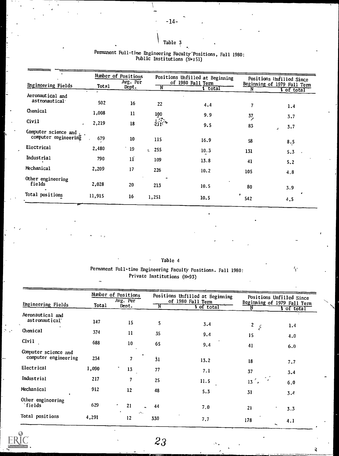#### Table 3

| Engineering Fields                           | Total  | Number of Positions<br>Avg. Per |                   | Positions Unfilled at Beginning<br>of 1980 Fall Term |                | Positions Unfilled Since<br>Beginning of 1979 Fall Term |
|----------------------------------------------|--------|---------------------------------|-------------------|------------------------------------------------------|----------------|---------------------------------------------------------|
|                                              |        | Dept.                           | N                 | t total                                              | N              | of total                                                |
| Aeronautical and<br>astronautical            | 502    | 16                              | 22                | 4.4                                                  | 7              | 1.4                                                     |
| Chemical                                     | 1,008  | 11                              |                   | 9.9                                                  | 3 <sub>2</sub> | 3.7                                                     |
| Civil                                        | 2,219  | 18                              | $\frac{100}{211}$ | 9.5                                                  | 83             | 3.7                                                     |
| Computer science and<br>computer engineering | 679    | 10                              | 115               | 16.9                                                 | 58             | 8.5                                                     |
| Electrical                                   | 2,480  | 19                              | $\frac{1}{2}$ 255 | 10.3                                                 | 131            | 5.3<br>$\cdot$                                          |
| Industrial                                   | 790    | 11                              | 109               | 13.8                                                 | 41             | 5.2                                                     |
| Mechanical                                   | 2,209  | 17                              | 226               | 10.2                                                 | 105            | 4,8                                                     |
| Other engineering<br>fields                  | 2,028  | 20                              | 213               | 10.5                                                 | 80             | 3.9                                                     |
| Total positions                              | 11,915 | 16                              | 1,251             | 10.5                                                 | 542            | 4.5                                                     |

#### Permanent Full-time Engineering Faculty-Positions, Fall 1980: Public Institutions (N=151)

## Table 4 Permanent Full-time Engineering Faculty Positions. Fall 1980: Private Institutions (N=93)

|                                              |       | Number of Positions<br>Avg. Per |            | Positions Unfilled at Beginning<br>of 1980 Fall Term |              | Positions Unfilled Since                |
|----------------------------------------------|-------|---------------------------------|------------|------------------------------------------------------|--------------|-----------------------------------------|
| Engineering Fields                           | Total | Dept.                           | 'N         | t of total                                           |              | Beginning of 1979 Fall Term<br>of total |
| Aeronautical and<br>astronautical            | 147   | 15                              | 5          | 3.4                                                  | $\mathbf{z}$ | 1.4                                     |
| Chemical                                     | 374   | 11                              | 35         | 9.4                                                  | - 15<br>15   | 4.0                                     |
| Civil                                        | 688   | 10                              | 65         | 9.4                                                  | 41           | 6.0                                     |
| Computer science and<br>computer engineering | 234   | $\overline{\mathbf{z}}$         | $\dot{3}1$ | 13.2                                                 | 18           | 7.7                                     |
| Electrical                                   | 1,090 | 13                              | 77         | 7.1                                                  | 37           | 3.4                                     |
| Industrial                                   | 217   | 7                               | 25         | 11.5                                                 | 13<br>- 8    | 6.0                                     |
| Mechanical                                   | 912   | 12                              | 48         | 5.3                                                  | 31           | 3.4                                     |
| Other engineering<br>fields                  | 629   | 21<br>$\hat{\phantom{a}}$       | 44         | 7.0                                                  | 21           | 3.3                                     |
| Total positions                              | 4,291 | $\omega_{\rm{max}}$<br>12       | 330        | 7.7                                                  | 178          | 4.1                                     |



23

 $\mathbf{Q}$ 

Ą.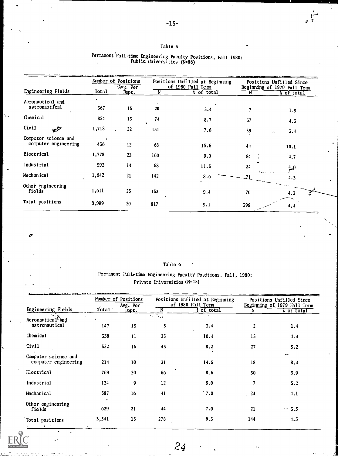**r** and the state

#### Table 5

|                             |       | Number of Positions<br>Avg. Per |     | Positions Unfilled at Beginning<br>of 1980 Fall Term |               | Positions Unfilled Since<br>Beginning of 1979 Fall Term |
|-----------------------------|-------|---------------------------------|-----|------------------------------------------------------|---------------|---------------------------------------------------------|
| <b>Engineering Fields</b>   | Total | Dept.                           | N   | <b>s</b> of total                                    |               | of total                                                |
| Aeronautical and            |       |                                 |     |                                                      |               |                                                         |
| ast ronaut i'cal            | 367   | 15                              | 20  | 5.4                                                  |               | 1.9                                                     |
| Chemical                    | 854   | 13                              | 74  | 8.7                                                  | 37            | 4.3                                                     |
| Civil<br>للأقيع             | 1,718 | 22                              | 131 | 7.6                                                  | 59            | 3.4                                                     |
| Computer science and        |       |                                 |     |                                                      |               |                                                         |
| computer engineering        | 436   | 12                              | 68  | 15.6                                                 | 44            | 10.1                                                    |
| Electrical                  | 1,778 | 23                              | 160 | 9.0                                                  | 84            | 4.7                                                     |
| Industrial                  | 593   | 14                              | 68  | 11.5                                                 | 24            | $^{4.0}$                                                |
| Mechanical                  | 1,642 | 21                              | 142 | 8.6                                                  | $\mathcal{L}$ | 4.3                                                     |
| Other engineering<br>fields | 1,611 | 25                              | 153 | 9.4                                                  | 70            | 4.3                                                     |
| Total positions             | 8,999 | 20                              | 817 | 9.1                                                  | 396           | 4,4                                                     |

## Permanent Full-time Engineering Faculty Positions, Fall 1980: Public Universities (N.86)

#### Table 6

## Permanent Full-time Engineering Faculty Positions, Fall, 1980: Private Universities (N=45)

|                                                |         | Number of Positions<br>Avg. Per |                                   | Positions Unfilled at Beginning<br>of 1980 Fall Term |     | Positions Unfilled Since<br>Beginning of 1979 Fall Term |
|------------------------------------------------|---------|---------------------------------|-----------------------------------|------------------------------------------------------|-----|---------------------------------------------------------|
| Engineering Fields                             | Total \ | Dept.                           | N                                 | of total                                             |     | of total                                                |
| Aeronautical <sup>3</sup> and<br>astronautical | 147     | 15                              | $\mathcal{L}_{\text{max}}$ .<br>5 | 3.4                                                  | 2   | 1.4                                                     |
| Chemical                                       | 338     | 11                              | 35                                | $\bullet$<br>10.4                                    | 15  | 4,4                                                     |
| Civil                                          | 522     | 15                              | 43                                | 8.2                                                  | 27  | 5.2                                                     |
| Computer science and<br>computer engineering   | 214     | 10                              | 31                                | 14.5                                                 | 18  | سمعد<br>8.4                                             |
| Electrical                                     | 769     | 20                              | 66                                | 8.6                                                  | 30  | 3.9                                                     |
| Industrial                                     | 134     | 9                               | 12                                | 9.0                                                  | 7   | 5.2                                                     |
| Mechanical                                     | 587     | 16                              | 41                                | $\hat{7}$ .0                                         | 24  | 4.1                                                     |
| Other engineering<br>fields                    | 629     | 21                              | 44                                | 7.0                                                  | 21  | $-3.3$                                                  |
| Total positions                                | 3,341   | 15                              | 278                               | 8.3                                                  | 144 | 4.3                                                     |

Ń,

24

ž.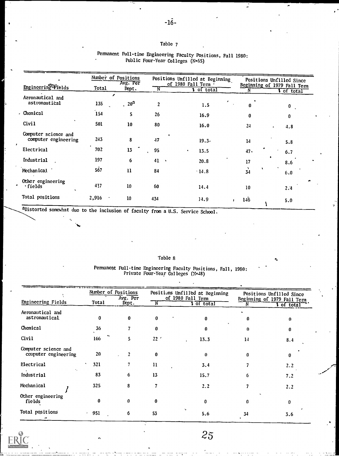## Table 7

|                                              |       | Number of Positions<br>Avg. Per |                | Positions Unfilled at Beginning<br>of 1980 Fall Term |                       | Positions Unfilled Since                         |
|----------------------------------------------|-------|---------------------------------|----------------|------------------------------------------------------|-----------------------|--------------------------------------------------|
| <b>Engineering Fields</b>                    | Total | Dept.                           | $\overline{N}$ | <b>s</b> of total                                    |                       | Beginning of 1979 Fall Term<br><b>T</b> of total |
| Aeronautical and<br>astronautical            | 135   | ∕<br>$\cdot$ 20 <sup>a</sup>    | $\overline{c}$ | 1.5                                                  | $\bf{0}$              | $\mathbf{0}$                                     |
| Chemical                                     | 154   | 5                               | 26             | 16.9                                                 | 0                     | 0                                                |
| Civil                                        | 501   | 10                              | 80             | 16.0                                                 | 24                    | 4.8<br>$\bullet$                                 |
| Computer science and<br>computer engineering | 243   | 8                               | 47             | 19.3.                                                | 14                    | 5.8                                              |
| Electrical                                   | 702   | 13                              | 95             | 13.5<br>$\bullet$                                    | 47.                   | 6.7                                              |
| Industrial                                   | 197   | 6                               | 41<br>$\,$     | 20.8                                                 | 17                    | 8.6                                              |
| Mechanical.                                  | 567   | 11                              | 84             | $\cdot$ 14.8                                         | $\overrightarrow{34}$ | $\cdot$<br>6.0                                   |
| Other engineering<br>·fields<br>$\sim$       | 417   | 10                              | 60             | 14.4                                                 | 10                    | 2.4                                              |
| Total positions                              | 2,916 | 10                              | 434            | 14.9                                                 | 146                   | 5.0                                              |

#### Permanent Full-time Engineering Faculty Positions, Fall 1980: Public Four-Year Colleges (N.65)

aDistorted somewhat due to the inclusion of faculty from a U.S. Service School.

. .

#### Table 8

#### Pcmancot Full-time Engineering Faculty Positions, Fall, 1980: Private Four-Year Colleges (N=48)

|                                              |          | Number of Positions<br>Avg. Per |                 | Positions Unfilled at Beginning<br>of 1980 Fall Term |    | Positions Unfilled Since<br>Beginning of 1979 Fall Term |
|----------------------------------------------|----------|---------------------------------|-----------------|------------------------------------------------------|----|---------------------------------------------------------|
| <b>Engineering Fields</b>                    | Total    | Dept.                           | N               | <b>S</b> of total                                    |    | t of total                                              |
| Aeronautical and<br>astronautical            | 0        | $\mathbf{0}$                    | $\bf{0}$        | $\mathbf{0}$                                         | 0  | $\theta$                                                |
| Chemical                                     | 36       |                                 | 0               | $\Omega$                                             | 0  | n                                                       |
| Civil                                        | 166      | 5.                              | 22 <sup>2</sup> | 13.3                                                 | 14 | 8.4                                                     |
| Computer science and<br>computer engineering | 20       | $\overline{2}$                  | $\bf{0}$        | $\Omega$                                             | 0  | $\mathbf{0}$                                            |
| <b>Electrical</b>                            | 321      |                                 | $\mathbf{u}$    | 3.4                                                  |    | 2.2                                                     |
| ۰.<br>Industrial                             | 83       | 6                               | 13              | 15.7                                                 | 6  | 7.2                                                     |
| Mechanical                                   | 325      | 8                               |                 | 2.2                                                  |    | 2.2                                                     |
| Other engineering<br>fields                  | $\bf{0}$ | $\bf{0}$                        | $\bf{0}$        | 0                                                    | 0  | $\bf{0}$                                                |
| Total positions                              | $-951$   | 6                               | 53              | 5.6                                                  | 34 | 3.6                                                     |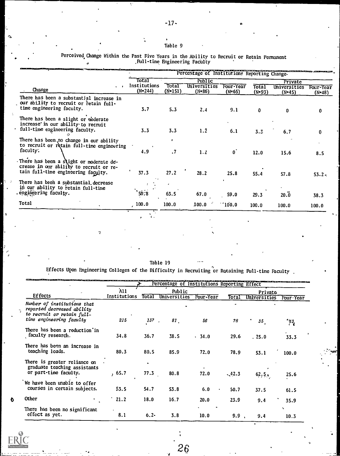#### Table 9

 $\bullet$ 

Perceived,Change Within the Past Five Years in the Ability to Recruit or Retain Permanent ,Pull-time Engineering Facblty

|                                                                                                                           |                           | Percentage of Institutions Reporting Change- |                          |                     |                     |                          |                       |  |  |
|---------------------------------------------------------------------------------------------------------------------------|---------------------------|----------------------------------------------|--------------------------|---------------------|---------------------|--------------------------|-----------------------|--|--|
|                                                                                                                           | Total                     |                                              | Public                   |                     |                     | Private                  |                       |  |  |
| Change                                                                                                                    | Institutions<br>$(N=244)$ | Total<br>$(N=151)$                           | Universities<br>$(N=86)$ | Four-Year<br>(N=65) | Total<br>$(N = 93)$ | Universities<br>$(N=45)$ | Four-Year<br>$(N=48)$ |  |  |
| There has been a substantial increase in<br>our ability to recruit or retain full-<br>time engineering faculty.           | 3,7                       | 5.3                                          | 2.4                      | 9.1                 | O.                  | 0                        | 0                     |  |  |
| There has been a slight or moderate<br>increase in our ability to recruit<br>full-time engineering faculty.               | 3.3                       | 3.3                                          | 1.2                      | 6.1                 | 3.3                 | 6.7                      | 0                     |  |  |
| There has been no change in our ability<br>to recruit or retain full-time engineering<br>faculty.                         | 4.9                       | $\cdot$ 7                                    | 1.2                      | $\boldsymbol{0}$    | 12.0                | 15.6                     | 8.5                   |  |  |
| There has been a slight or moderate de-<br>crease in our ability to recruit or re-<br>tain full-time engineering faculty. | 37.3                      | 27.2                                         | 28.2                     | 25.8                | 55.4                | 57.8                     | $53.2 -$              |  |  |
| There has been a substantial decrease<br>in our ability to retain full-time                                               |                           |                                              |                          |                     |                     |                          |                       |  |  |
| engingering faculty.                                                                                                      | ັ* 50∵8                   | 63.5                                         | 67.0                     | 59.0                | 29.3                | 20.0                     | 38.3                  |  |  |
| Total                                                                                                                     | 100.0                     | 100.0                                        | 100.0                    | 100.0               | 100.0               | 100.0                    | 100.0                 |  |  |

Table 19

Effects Upon Engineering Colleges of the Difficulty in Recruiting or Retaining Faculty

|                                                                                                                     |              |           | Percentage of Institutions Reporting Effect |           |         |                     |           |  |
|---------------------------------------------------------------------------------------------------------------------|--------------|-----------|---------------------------------------------|-----------|---------|---------------------|-----------|--|
|                                                                                                                     | $\lambda$ 11 |           | Public                                      |           |         | Privato             |           |  |
| <b>Effects</b>                                                                                                      | Institutions | Total     | Universities                                | Four-Year | Total   | <b>Universities</b> | Four-Year |  |
| Number of institutions that<br>reported decreased ability<br>to recruit or retain full-<br>time engineering faculty | 215          | 137       | 81 <sub>1</sub>                             | 56        | 78      | 35.                 | *43,      |  |
| There has been a reduction in<br>faculty research.                                                                  | 34.8         | 36.7      | 38.5                                        | . 34.0    | 29.6    | .25.0               | 33.3      |  |
| There has been an increase in<br>teaching loads.                                                                    | 80.3         | 80.5      | 85.9                                        | 72.0      | 78.9    | 53.1                | 100.0     |  |
| There is greater reliance on<br>graduate teaching assistants<br>or part-time faculty.                               | , 65.7       | ۰<br>77.3 | 80.8                                        | 72.0      | $-42.3$ | 62, 5,              | 25.6      |  |
| We have been unable to offer<br>courses in certain subjects.                                                        | 53.5         | 54.7      | 53.8                                        | 6.0<br>٠  | 50.7    | 37.5                | 61.5      |  |
| Other                                                                                                               | 21.2         | 18.0      | 16.7                                        | 20.0      | 23.9    | 9.4                 | 35.9      |  |
| There has been no significant<br>effect as yet.                                                                     | 8.1          | $6.2 -$   | 3.8                                         | 10.0      | 9.9     | 9.4                 | ٠<br>10.3 |  |



 $26 \,$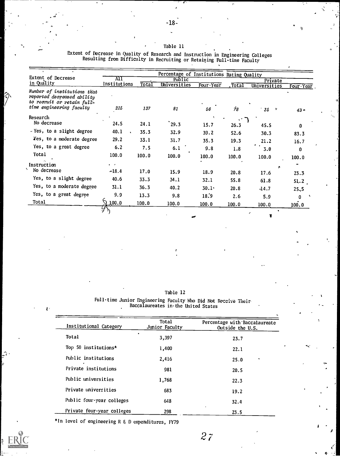Op

 $|\gamma$ 

rri i s

#### Table 11

Extent of Decrease in Quality of Research and Instruction in Engineering Colleges Resulting from Difficulty in Recruiting or Retaining Full-time Faculty

|                                                                                         |                  |       | Percentage of Institutions Rating Quality |           |         |              |           |
|-----------------------------------------------------------------------------------------|------------------|-------|-------------------------------------------|-----------|---------|--------------|-----------|
| Extent of Decrease                                                                      | AII              |       | Public                                    |           |         | Private      |           |
| in Quality                                                                              | Institutions     | Total | Universities                              | Four-Year | . Total | Universities | Four Year |
| Number of institutions that<br>reported decreased ability<br>to recruit or retain full- |                  |       |                                           |           |         |              |           |
| time engineering faculty                                                                | 215              | 137   | 81                                        | 56        | 78      | - 35         | $43 -$    |
| Research                                                                                |                  |       |                                           |           |         |              |           |
| No decrease                                                                             | 24.5             | 24.1  | 29.3                                      | 15.7      | 26.3    | 45.5         | 0         |
| - Yes, to a slight degree                                                               | 40.1             | 35.3  | 32.9                                      | 39.2      | 52.6    | 30.3         | 83.3      |
| Yes, to a moderate degree                                                               | 29.2             | 33.1  | 31.7                                      | 35.3      | 19.3    | 21.2         | 16.7      |
| Yes, to a great degree                                                                  | 6.2              | 7.5   | 6.1                                       | 9.8       | 1.8     | 3.0          | 0         |
| Total                                                                                   | 100.0            | 100.0 | 100.0                                     | 100.0     | 100.0   | 100.0        | 100.0     |
| Instruction                                                                             |                  |       |                                           |           |         |              |           |
| No decrease                                                                             | $-18.4$          | 17.0  | 15.9                                      | 18.9      | 20.8    | 17.6         | 23.3      |
| Yes, to a slight degree                                                                 | 40.6             | 33.3  | 34.1                                      | 32.1      | 55.8    | 61.8         | 51.2      |
| Yes, to a moderate degree                                                               | 31.1             | 36.3  | 40.2                                      | $30.1 -$  | 20.8    | $-14.7$      | 25,5      |
| Yes, to a great degree                                                                  | 9.9              | 13.3  | 9.8                                       | 18.9      | 2.6     | 5.9          | n         |
| Total                                                                                   | $7\,$ 100.0 $\,$ | 100.0 | 100.0                                     | 100.0     | 100.0   | 100.0        | 100.0     |
|                                                                                         |                  |       |                                           |           |         |              |           |
|                                                                                         |                  |       |                                           |           |         |              |           |

Table 12

Full-time Junior Engineering Faculty Who Did Not Receive Their Baccalaureates iwthe United States

| Institutional Category     | Total<br>Junior Faculty | Percentage with Baccalaureate<br>Outside the U.S. | ۰,                              |
|----------------------------|-------------------------|---------------------------------------------------|---------------------------------|
| Total                      | 3,397                   | 23.7                                              |                                 |
| Top 50 institutions*       | 1,400                   | 22.1                                              | $\mathbf{v}_{\mathbf{x}'}$<br>٠ |
| Public institutions        | 2,416                   | 25.0<br>٠                                         | $\rightarrow$<br>$\lambda$      |
| Private institutions       | 981                     | 20.5                                              | ٠                               |
| Public universities        | 1,768                   | 22.3                                              |                                 |
| Private universities       | 683                     | 19.2                                              |                                 |
| Public four-year colleges  | 648                     | 32.4                                              |                                 |
| Private four-year colleges | 298                     | 23.5                                              |                                 |

\*In level of engineering R & D expenditures, FY79



2 7

 $\left\{ \begin{array}{c} \epsilon \\ \epsilon \\ \epsilon \end{array} \right\}$ 

 $-$ 

 $\frac{1}{2}$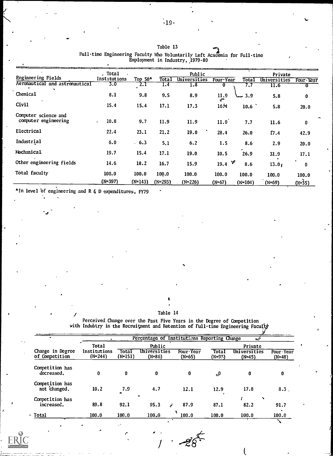|                                              | . Total      |           |         | Public       |            |           | Private      |           |
|----------------------------------------------|--------------|-----------|---------|--------------|------------|-----------|--------------|-----------|
| Engineering Fields                           | Institutions | Top $50*$ | Total   | Universities | Four Year  | Total     | Universities | Four-Year |
| Aeronautical and astronautical               | 3.0          | 2.1       | 1.4     | 1.8          | 0          | 7.7       | 11.6         |           |
| Chemical                                     | 8.1          | 9.8       | 9.5     | 8.9          | 11.9<br>س  | 3.9 سا    | 5.8          | 0         |
| Civil                                        | 15.4         | 15.4      | 17.1    | 17.3         | 16.41      | 10.6      | 5.8          | 20.0      |
| Computer science and<br>computer engineering | 10.8         | 9.7       | 11.9    | 11.9         | 11.9       | 7.7       | 11.6         | $\bf{0}$  |
| Electrical                                   | 22.4         | 23.1      | 21.2    | 19.0         | 28.4       | 26.0      | 17.4         | 42.9      |
| Industrial                                   | 6.0          | $-6.3$    | 5.1     | 6.2          | 1.5        | 8.6       | 2.9          | 20.0      |
| Mechanical                                   | 19.7         | 15.4      | 17.1    | 19.0         | 10.5       | 26.9      | 31.9         | 17.1      |
| Other engineering fields                     | 14.6         | 18.2      | 16.7    | 15.9         | *P<br>19.4 | 8.6       | 13.01        | 0         |
| Total faculty                                | 100.0        | 100.0     | 100.0   | 100.0        | 100.0      | 100.0     | 100.0        | 100.0     |
|                                              | $(N=397)$    | $(N=143)$ | (N=293) | (N=226)      | (እ=67)     | $(N=104)$ | $(N=69)$     | $(N=35)$  |

#### Table 13 Full-time Engineering Faculty Who Voluntarily Left Academia for Full-time Employment in Industry, .1979-80

\*In level of engineering and R & D expenditures, FY79

 $J$  and  $J$ 

 $\overline{\phantom{a}}$ 

#### Table 14

Perceived Change over the Past Five Years in the Degree of Competition with Industry in the Recruitment and Retention of Full-time Engineering Faculty

|                                    |                                    |                    | Percentage of Institutions Reporting Change |                     |                    |                                     |                       |
|------------------------------------|------------------------------------|--------------------|---------------------------------------------|---------------------|--------------------|-------------------------------------|-----------------------|
| Change in Degree<br>of Competition | Total<br>Institutions<br>$(N=244)$ | Total<br>$(N=151)$ | Public<br>Universities<br>$(N=86)$          | Four-Year<br>(N=65) | Total<br>$(N=9.5)$ | Private<br>Universities<br>$(N=45)$ | Four-Year<br>$(N=48)$ |
| Competition has<br>decreased.      | 0                                  | 0                  | 0                                           | 0                   | <sub>م</sub> ي     | 0                                   | 0                     |
| Competition has<br>not changed.    | 10.2                               | 7.9                | 4.7                                         | 12.1                | 12.9               | 17.8                                | 8.3.                  |
| Competition has<br>increased.      | 89.8                               | 92.1               | ٠<br>95.3<br>A                              | 87.9                | 87.1               | 82.2                                | 91.7                  |
| - Total                            | 100.0                              | 100.0              | 100.0                                       | 100.0               | 100.0              | 100.0                               | 100.0<br>$\sim$       |

 $\overline{I}$ 

Ž8

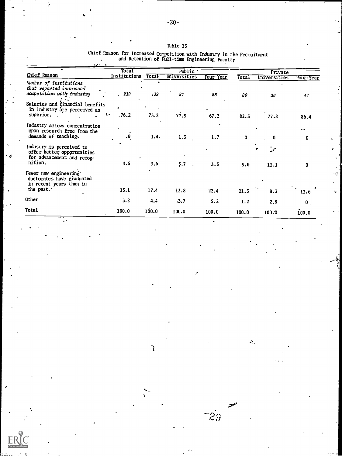## Table 15

Chief Reason for Increased Competition with Industry in the Recruitment<br>and Retention of Pull-time Engineering Faculty<br>-  $x^2$ 

 $\overline{z}$ 

|                                                                                                                   | Total        |       | <b>Public</b> |           |          | Private      |              |
|-------------------------------------------------------------------------------------------------------------------|--------------|-------|---------------|-----------|----------|--------------|--------------|
| Chief Reason                                                                                                      | Institutions | Total | Universities  | Four-Year | Total    | Universities | Four Year    |
| Number of institutions<br>that reported increased<br>competition with industry<br>Salaries and financial benefits | .219         | 139   | 81            | 58'       | 80       | 36           | 44           |
| in industry are perceived as<br>superior.                                                                         | :76.2<br>٠.  | 73.2  | 77.5          | 67.2      | 82.5     | 77.8         | 86.4         |
| Industry allows concentration<br>upon research free from the<br>demands of teaching.                              | .9           | 1.4.  | 1.3           | 1.7       | $\bf{0}$ | n            | <br>U.       |
| Industry is perceived to<br>offer better opportunities<br>for advancement and recog-<br>nition.                   | 4.6          | 3.6   | $3.7 -$       | 3.5       | 5,0      | 11.1         | 0            |
| Fewer new engineering<br>doctorates have graduated<br>in recent years than in<br>the past.                        | 15.1         | 17.4  | 13.8          | 22.4      | 11.3     | 8.3          | 13.6         |
| Other                                                                                                             | 3.2          | 4.4   | .3.7          | 5.2       | 1.2      | 2.8          | $\mathbf{0}$ |
| Total                                                                                                             | 100.0        | 100.0 | 100.0         | 100.0     | 100.0    | 100.0        | 100.0        |

 $\overline{\mathfrak{c}}$ 

 $\mathbb{R}^2$ 

مستنقد

 $-29$ 

t.

þ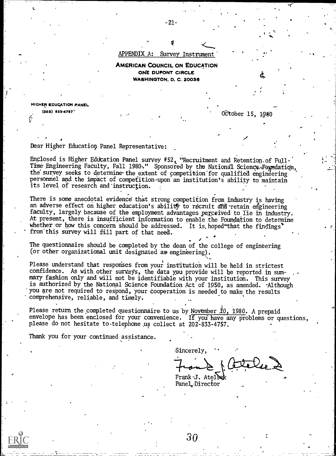#### APPENDIX A: Survey Instrument'

AMERICAN COUNCIL ON EDUCATION ONE DUPONT CIRCLE WASHINGTON, D. C. 20036

HIGHER EDUCATION PANEL

(202)  $\sqrt{2}$  (202)  $\sqrt{2}$  (202)  $\sqrt{2}$  (2010)  $\sqrt{2}$  (2010)  $\sqrt{2}$  (2010)  $\sqrt{2}$ 

## Dear Higher Education Panel Representative:

Enclosed is Higher Education Panel survey #52, "Recruitment and Retention of Full-Time Engineering Faculty, Fall 1980:" Sponsored by the National Science-Foundation, the survey seeks to determine the extent of competition for qualified engineering personnel and the impact of competition-upon an institution's ability to maintain its level of research and'instruction.

There is some anecdotal evidence that strong competition from industry is having an adverse effect on higher education's ability to recruit and retain engineering faculty, largely because of the employment advantages perceived to lie in industry. At present, there is insufficient information to enable the Foundation to determine whether or how this concern should be addressed. It is hoped that the findings' from this survey will fill part of that need.

The questionnaire should be completed by the dean of the college of engineering (or other organizational unit designated as engineering).

Please understand that responses from your institution will be held in strictest confidence. As with other surveys, the data you provide will be reported in summary fashion only and will not be identifiable with your institution. This survey is authorized by the National Science Foundation Act of 1950, as amended. Although you are not required to respond, your cooperation is needed to make the results comprehensive, reliable, and timely.

Please return the completed questionnaire to us by November 10, 1980. A prepaid envelope has been enclosed for your convenience. If you have any problems or questions, please do not hesitate to telephone us collect at 202-833-4757.

Thank you for your continued assistance.

Sincerely,

 $\mathcal{A}$  and  $\mathcal{A}$ 

(..1z(24e1

Frank<sub>2</sub>J. Atelsek Panel,-Director

30

-21-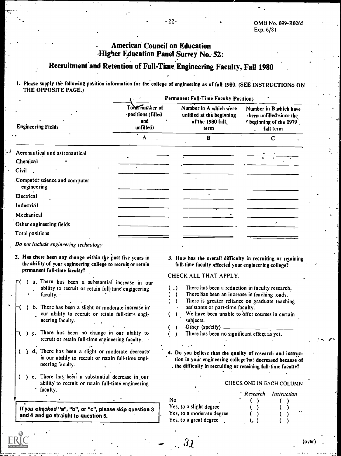## American Council on Education Higher Education Panel Survey No. 52:

## Recruitment' and Retention of Full-Time Engineering Faculty, Fall 1980

1. Please supply the following position information for the college of engineering as of fall 1980. (SEE INSTRUCTIONS ON THE OPPOSITE PAGE.)

|                                              | <b>Permanent Full-Time Faculty Positions</b>                                                                                                                                     |  |                                                                                                             |  |
|----------------------------------------------|----------------------------------------------------------------------------------------------------------------------------------------------------------------------------------|--|-------------------------------------------------------------------------------------------------------------|--|
| ٠.<br><b>Engineering Fields</b>              | Total number of<br>Number in A which were<br>·positions (filled<br>unfilled at the beginning<br>and<br>of the 1980 fall<br>unfilled)<br>term<br>$\mathbf{z}$<br>A<br>$B^{\circ}$ |  | Number in B.which have<br>been unfilled since the<br><i>r</i> beginning of the 1979.<br>fall term<br>٠<br>C |  |
|                                              |                                                                                                                                                                                  |  |                                                                                                             |  |
| Aeronautical and astronautical               |                                                                                                                                                                                  |  |                                                                                                             |  |
| Chemical                                     |                                                                                                                                                                                  |  | $\mathbf{z}$                                                                                                |  |
| Civil                                        |                                                                                                                                                                                  |  |                                                                                                             |  |
| Computer science and computer<br>engineering |                                                                                                                                                                                  |  |                                                                                                             |  |
| Electrical                                   |                                                                                                                                                                                  |  |                                                                                                             |  |
| Industrial                                   |                                                                                                                                                                                  |  |                                                                                                             |  |
| Mechanical                                   |                                                                                                                                                                                  |  |                                                                                                             |  |
| Other engineering fields                     |                                                                                                                                                                                  |  |                                                                                                             |  |
| <b>Total positions</b>                       |                                                                                                                                                                                  |  |                                                                                                             |  |
|                                              |                                                                                                                                                                                  |  |                                                                                                             |  |

#### Do not include engineering technology

- 2. Has there been any change within the past five years in the ability of your engineering college to recruit or retain permanent full-time faculty?
	- a. There has been -a substantial increase in our<br>ability to recruit or retain full-time engineering  $\begin{pmatrix} 1 \end{pmatrix}$ ability to recruit or retain full-time engineering  $( )$ <br>faculty. faculty.
- ) b. There has been a slight or moderate increase in' our ability to recruit or retain full-time engineering faculty.
- $T($  ) c. There has been no change in our ability to  $($  ) recruit or retain full-time engineering faculty.
- ) d. There has been a slight or moderate decrease' in our ability to recruit or retain full-time engineering faculty.
- () e. There has been a substantial decrease in our ability to recruit or retain full-time engineering faculty.

If you checked "a", "b", or "c", please skip question 3 and 4 and go straight to question 5.

3. How has the overall difficulty in recruiting. or retaining full-time faculty affected your engineering college?

#### CHECK ALL THAT APPLY.

- There has been a reduction in faculty research.
- There has been an increase in teaching loads.
- There is greater reliance on graduate teaching  $\left($  $\rightarrow$ assistants or part-time faculty.
- We have been unable to offer courses in certain  $( )$ subjects.
- Other (specify)  $\lambda$ 0
- There has been no significant effect as yet.

4. Do you believe that the quality of research and instruction in your engineering college has decreased because of the difficulty in recruiting or retaining full-time faculty?

#### CHECK ONE IN EACH COLUMN

|                           | `Research | Instruction |
|---------------------------|-----------|-------------|
| No                        |           |             |
| Yes, to a slight degree   |           |             |
| Yes, to a moderate degree |           | ٠,          |
| Yes, to a great degree    |           |             |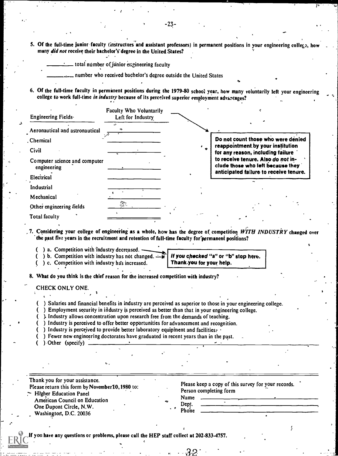5. Of the full-time junior faculty (instructors and assistant professors) in permanent positions in your engineering college, ho many did not receive their bachelor's degree in the United States?

-23-

total number of junior engineering faculty

number who received bachelor's degree outside the United States

6. Of the full-time faculty in permanent positions during the 1979-80 school year, how many voluntarily left your engineering college to work full-time in industry because of its perceived superior employment advantages?

| Engineering Fields                           | Faculty Who Voluntarily<br>Left for Industry |                                                                         |
|----------------------------------------------|----------------------------------------------|-------------------------------------------------------------------------|
| Aeronautical and astronautical               |                                              |                                                                         |
| . Chemical                                   |                                              | Do not count those who were denied                                      |
| Civil                                        |                                              | reappointment by your institution<br>for any reason, including failure  |
| Computer science and computer<br>engineering |                                              | to receive tenure. Also do not in-<br>clude those who left because they |
| Electrical                                   |                                              | anticipated failure to receive tenure.                                  |
| Industrial                                   |                                              |                                                                         |
| Mechanical                                   |                                              |                                                                         |
| Other engineering fields                     | 猕                                            |                                                                         |
| <b>Total faculty</b>                         |                                              |                                                                         |

7. Considering your college of engineering as a whole, how has the degree of competition WITH INDUSTRY changed over the past five years in the recruitment and retention of full-time faculty for permanent positions?

- $($ ) a. Competition with industry decreased.
- () b. Competition with industry has not changed.  $\rightarrow$
- ( ) c. Competition with industry has increased.

If you checked "a" or "b" stop here. Thankyou for your help.

8. What do you think is the chief reason for the increased competition with industry?

CHECK ONLY ONE.

- ( ) Salaries and financial benefits in industry are perceived as superior to those in your engineering college.
- ( ) Employment security in industry is perceived as better than that in your engineering college.
- ( ). Industry allows concentration upon research free from the demands of teaching.
- ( ) Industry is perceived to offer better opportunities for advancement and recognition.
- ( ) Industry is perceived to provide better laboratory equipment and facilities:
- ( ) Fewer new engineering doctorates have graduated in recent years than in the past.
- ( ) -Other (specify)

| Thank you for your assistance.<br>Please return this form by November10, 1980 to:<br>$\sim$ Higher Education Panel |   | Please keep a copy of this survey for your records.<br>Person completing form |
|--------------------------------------------------------------------------------------------------------------------|---|-------------------------------------------------------------------------------|
| American Council on Education<br>One Dupont Circle, N.W.<br>Washington, D.C. 20036                                 | ≁ | Name<br>Dept.<br>Phone                                                        |

-32

you have any questions or problems, please call the HEP staff collect at 202-833-4757.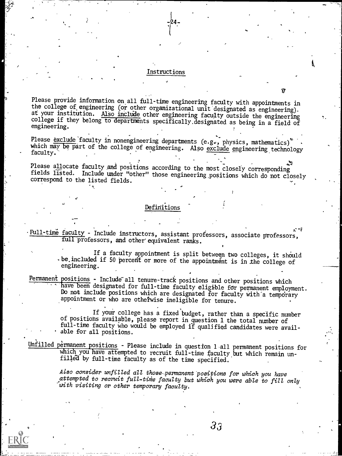#### Instructions

-24-

ti

.1%

Please provide information on all full-time engineering faculty with appointments in the college of engineering (or other organizational unit designated as engineering). at your institution. Also include other engineering faculty outside the engineering college if they belong to departments specifically.designated as being in a field of engineering.

Please exclude faculty in nonengineering departments (e.g., physics, mathematics)<sup>\*</sup> which may be part of the college of engineering. Also <u>exclude</u> engineering technology<br>faculty.

Please allocate faculty and positions according to the most closely corresponding fields listed. Include under "other" those engineering.positions which do not closely correspond to the listed fields.

## Definitions

 $\mathcal{L}$  and  $\mathcal{L}$ 

 $\frac{0.7 \text{Full-time faculty}}{0.7 \text{cm}}$  - Include instructors, assistant professors, associate professors, full professors, and other equivalent ranks.

> If a faculty appointment is split between two colleges, it should -be.included if 50 percent or more of the appointment is in the college of engineering.

Permanent positions - Include all tenure-track positions and other positions which have been designated for full-time faculty eligible for permanent employment. Do not include positions which are designated for faculty with a temporary appointment or who are otheiwise ineligible for tenure.

> If your college has a fixed budget, rather than a specific number of positions available, please report in question 1 the total number of full-time faculty who would be employed if qualified candidates were available for all positions.

Unfilled permanent positions - Please include in question 1 all permanent positions for which you have attempted to recruit full-time faculty but which remain unfilled by full-time faculty as of the time specified.

> Also consider unfilled all those-permanent positions for which you have attempted to recruit full-time faculty but which you were able to fill only 'with visiting or other temporary faculty.

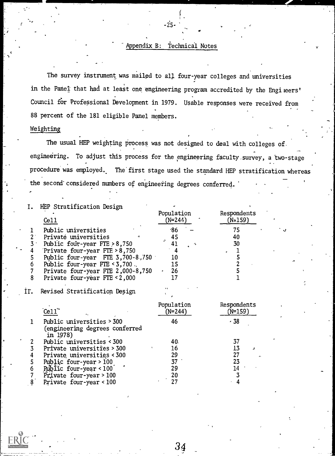## Appendix B: Technical Notes

.ว่ร

The survey instrument was mailed to all four-year colleges and universities in the Panel that had at least one engineering program accredited by the Engileers' Council for Professional Development in 1979. Usable responses were received from 88 percent of the 181 eligible Panel members.

## Weighting

The usual HEP weighting process was not designed to deal with colleges of. engineering. To adjust this process for the engineering faculty.survey, a two-stage procedure was employed. The'first stage used the standard HEP stratification whereas the second' considered numbers of engineering degrees conferred.

| HEP Stratification Design          |                       |                        |  |
|------------------------------------|-----------------------|------------------------|--|
| C <sub>e11</sub>                   | Population<br>(N=244) | Respondents<br>(N=159) |  |
| Public universities                | 86'                   |                        |  |
| Private universities               | 45                    | 40                     |  |
| Public four-year FTE $>8,750$      |                       | 30                     |  |
| Private four-year $FIF > 8,750$    |                       |                        |  |
| Public four-year FTE $3,700-8,750$ | 10                    |                        |  |
| Public four-year FIE < 3,700.      |                       |                        |  |
| Private four-year FIE 2,000-8,750  | 26                    |                        |  |
| Private four-year FTE < 2,000      |                       |                        |  |
| Revised Stratification Design      |                       |                        |  |

|   | $\text{Ce}11$ $\text{``}$                                               | Population<br>'N=244) | Respondents<br>(N=159) |  |
|---|-------------------------------------------------------------------------|-----------------------|------------------------|--|
|   | Public universities > 300<br>(engineering degrees conferred<br>in 1978) | 46                    | $-38$                  |  |
|   | Public universities < 300                                               | 40.                   |                        |  |
|   | Private universities > 300                                              | 16                    |                        |  |
| 4 | Private universities < 300                                              | 29                    |                        |  |
|   | Public four-year > 100                                                  |                       |                        |  |
| 6 | Public four-year < 100                                                  | 29                    |                        |  |
|   | Private four-year > 100                                                 |                       |                        |  |
|   | Private four-year < 100                                                 |                       |                        |  |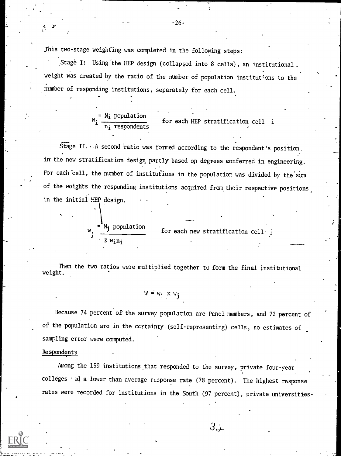This two-stage weighting was completed in the following steps:

Stage I: Using'the HEP design (collapsed into 8 cells), an institutional. weight was created by the ratio of the number of population institutions to the number of responding institutions, separately for each cell,

> $w_i = N_i$  population for  $\mathtt{n_{i}}$  respondents for each HEP stratification cell i

Stage II.  $\cdot$  A second ratio was formed according to the respondent's position. in the new stratification design partly based on degrees conferred in engineering. For each cell, the number of institutions in the population was divided by the sum of the weights the responding institutions acquired from their respective positions in the initial HEP design.

> $w_i = N_j$  population for E wini

 $\mathcal{L}$ 

for each new stratification cell- j

Then the two ratios were multiplied together to form the final institutional weight.

$$
W = w_i \times w_j
$$

Because 74.percent of the survey population are Panel members, and 72 percent of of the population are in the certainty (self-representing) cells, no estimates of sampling error were computed.

#### Respondents

Among the 159 institutions, that responded to the survey, private four-year  $\text{colleges } '$  id a lower than average response rate (78 percent). The highest response rates were recorded for institutions in the South (97 percent), private universities-

 $3$ ن

.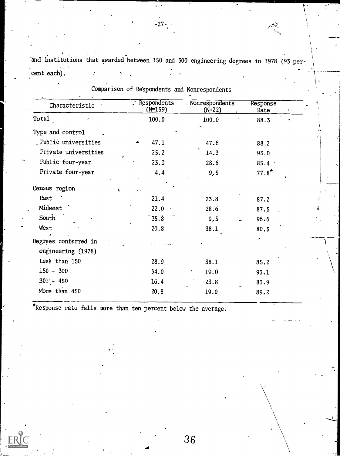'and'institutions that awarded between 150 and 300 engineering degrees in 1978 (93 per- . cent each).

| Characteristic                             | . Respondents<br>$(N=159)$ | Nonrespondents<br>$(N=22)$ | Response<br>Rate |
|--------------------------------------------|----------------------------|----------------------------|------------------|
| Total                                      | 100.0                      | 100.0                      | 88.3             |
| Type and control                           |                            |                            |                  |
| Public universities                        | 47.1                       | 47.6                       | 88.2             |
| Private universities                       | 25.2                       | 14.3                       | 93.0             |
| Public four-year                           | 23.3                       | 28.6                       | $85.4 -$         |
| Private four-year                          | 4.4                        | 9,5                        | $77.8*$<br>ï     |
| Census region                              | ۰,                         |                            |                  |
| East                                       | 21.4                       | 23.8                       | 87.2             |
| Midwest                                    | $22.0 -$                   | 28.6                       | 87.5             |
| South<br>ŕ                                 | $35.\overline{8}$          | 9,5                        | 96.6             |
| West                                       | 20.8                       | 38.1                       | 80.5             |
| Degrees conferred in<br>engineering (1978) |                            |                            |                  |
| Less than 150                              | 28.9                       | 38.1                       | 85.2             |
| $150 - 300$                                | 34.0                       | 19.0                       | 93.1             |
| $301 - 450$                                | 16.4                       | 23.8                       | 83.9             |
| More than 450                              | 20.8                       | 19.0                       | 89.2             |

-27-.

\*Response rate falls more than ten percent below the average.